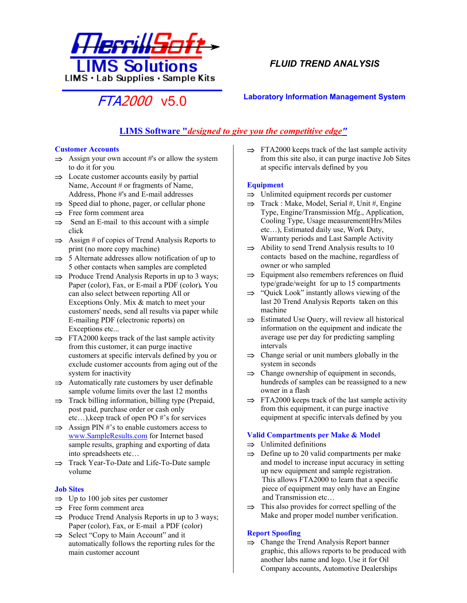

# *FLUID TREND ANALYSIS*

# FTA2000 v5.0 **Laboratory Information Management System**

# **LIMS Software "***designed to give you the competitive edge"*

#### **Customer Accounts**

- ⇒ Assign your own account #'s or allow the system to do it for you
- ⇒ Locate customer accounts easily by partial Name, Account # or fragments of Name, Address, Phone #'s and E-mail addresses
- ⇒ Speed dial to phone, pager, or cellular phone
- ⇒ Free form comment area
- ⇒ Send an E-mail to this account with a simple click
- ⇒ Assign # of copies of Trend Analysis Reports to print (no more copy machine)
- ⇒ 5 Alternate addresses allow notification of up to 5 other contacts when samples are completed
- ⇒ Produce Trend Analysis Reports in up to 3 ways; Paper (color), Fax, or E-mail a PDF (color)*.* You can also select between reporting All or Exceptions Only. Mix & match to meet your customers' needs, send all results via paper while E-mailing PDF (electronic reports) on Exceptions etc...
- ⇒ FTA2000 keeps track of the last sample activity from this customer, it can purge inactive customers at specific intervals defined by you or exclude customer accounts from aging out of the system for inactivity
- ⇒ Automatically rate customers by user definable sample volume limits over the last 12 months
- ⇒ Track billing information, billing type (Prepaid, post paid, purchase order or cash only etc…),keep track of open PO #'s for services
- ⇒ Assign PIN #'s to enable customers access to [www.SampleResults.com](http://www.sampleresults.com/) for Internet based sample results, graphing and exporting of data into spreadsheets etc…
- ⇒ Track Year-To-Date and Life-To-Date sample volume

# **Job Sites**

- ⇒ Up to 100 job sites per customer
- ⇒ Free form comment area
- ⇒ Produce Trend Analysis Reports in up to 3 ways; Paper (color), Fax, or E-mail a PDF (color)
- ⇒ Select "Copy to Main Account" and it automatically follows the reporting rules for the main customer account

⇒ FTA2000 keeps track of the last sample activity from this site also, it can purge inactive Job Sites at specific intervals defined by you

### **Equipment**

- ⇒ Unlimited equipment records per customer
- ⇒ Track : Make, Model, Serial #, Unit #, Engine Type, Engine/Transmission Mfg., Application, Cooling Type, Usage measurement(Hrs/Miles etc…), Estimated daily use, Work Duty, Warranty periods and Last Sample Activity
- ⇒ Ability to send Trend Analysis results to 10 contacts based on the machine, regardless of owner or who sampled
- ⇒ Equipment also remembers references on fluid type/grade/weight for up to 15 compartments
- ⇒ "Quick Look" instantly allows viewing of the last 20 Trend Analysis Reports taken on this machine
- ⇒ Estimated Use Query, will review all historical information on the equipment and indicate the average use per day for predicting sampling intervals
- ⇒ Change serial or unit numbers globally in the system in seconds
- ⇒ Change ownership of equipment in seconds, hundreds of samples can be reassigned to a new owner in a flash
- ⇒ FTA2000 keeps track of the last sample activity from this equipment, it can purge inactive equipment at specific intervals defined by you

# **Valid Compartments per Make & Model**

- ⇒ Unlimited definitions
- ⇒ Define up to 20 valid compartments per make and model to increase input accuracy in setting up new equipment and sample registration. This allows FTA2000 to learn that a specific piece of equipment may only have an Engine and Transmission etc…
- ⇒ This also provides for correct spelling of the Make and proper model number verification.

# **Report Spoofing**

⇒ Change the Trend Analysis Report banner graphic, this allows reports to be produced with another labs name and logo. Use it for Oil Company accounts, Automotive Dealerships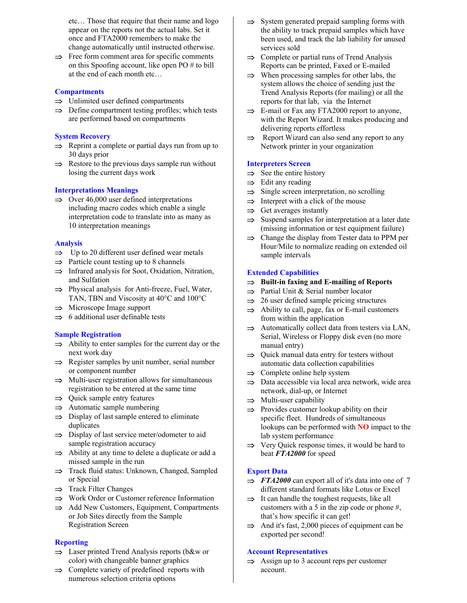etc… Those that require that their name and logo appear on the reports not the actual labs. Set it once and FTA2000 remembers to make the change automatically until instructed otherwise.

⇒ Free form comment area for specific comments on this Spoofing account, like open PO # to bill at the end of each month etc…

### **Compartments**

- ⇒ Unlimited user defined compartments
- ⇒ Define compartment testing profiles; which tests are performed based on compartments

#### **System Recovery**

- ⇒ Reprint a complete or partial days run from up to 30 days prior
- ⇒ Restore to the previous days sample run without losing the current days work

#### **Interpretations Meanings**

⇒ Over 46,000 user defined interpretations including macro codes which enable a single interpretation code to translate into as many as 10 interpretation meanings

#### **Analysis**

- ⇒ Up to 20 different user defined wear metals
- ⇒ Particle count testing up to 8 channels
- ⇒ Infrared analysis for Soot, Oxidation, Nitration, and Sulfation
- ⇒ Physical analysis for Anti-freeze, Fuel, Water, TAN, TBN and Viscosity at 40°C and 100°C
- ⇒ Microscope Image support
- ⇒ 6 additional user definable tests

### **Sample Registration**

- ⇒ Ability to enter samples for the current day or the next work day
- ⇒ Register samples by unit number, serial number or component number
- ⇒ Multi-user registration allows for simultaneous registration to be entered at the same time
- ⇒ Quick sample entry features
- ⇒ Automatic sample numbering
- ⇒ Display of last sample entered to eliminate duplicates
- ⇒ Display of last service meter/odometer to aid sample registration accuracy
- ⇒ Ability at any time to delete a duplicate or add a missed sample in the run
- ⇒ Track fluid status: Unknown, Changed, Sampled or Special
- ⇒ Track Filter Changes
- ⇒ Work Order or Customer reference Information
- ⇒ Add New Customers, Equipment, Compartments or Job Sites directly from the Sample Registration Screen

#### **Reporting**

- ⇒ Laser printed Trend Analysis reports (b&w or color) with changeable banner graphics
- ⇒ Complete variety of predefined reports with numerous selection criteria options
- ⇒ System generated prepaid sampling forms with the ability to track prepaid samples which have been used, and track the lab liability for unused services sold
- ⇒ Complete or partial runs of Trend Analysis Reports can be printed, Faxed or E-mailed
- ⇒ When processing samples for other labs, the system allows the choice of sending just the Trend Analysis Reports (for mailing) or all the reports for that lab, via the Internet
- ⇒ E-mail or Fax any FTA2000 report to anyone, with the Report Wizard. It makes producing and delivering reports effortless
- ⇒ Report Wizard can also send any report to any Network printer in your organization

#### **Interpreters Screen**

- $\Rightarrow$  See the entire history
- ⇒ Edit any reading
- ⇒ Single screen interpretation, no scrolling
- ⇒ Interpret with a click of the mouse
- ⇒ Get averages instantly
- ⇒ Suspend samples for interpretation at a later date (missing information or test equipment failure)
- ⇒ Change the display from Tester data to PPM per Hour/Mile to normalize reading on extended oil sample intervals

#### **Extended Capabilities**

- ⇒ **Built-in faxing and E-mailing of Reports**
- ⇒ Partial Unit & Serial number locator
- ⇒ 26 user defined sample pricing structures
- ⇒ Ability to call, page, fax or E-mail customers from within the application
- ⇒ Automatically collect data from testers via LAN, Serial, Wireless or Floppy disk even (no more manual entry)
- ⇒ Quick manual data entry for testers without automatic data collection capabilities
- ⇒ Complete online help system
- ⇒ Data accessible via local area network, wide area network, dial-up, or Internet
- ⇒ Multi-user capability
- ⇒ Provides customer lookup ability on their specific fleet. Hundreds of simultaneous lookups can be performed with **NO** impact to the lab system performance
- ⇒ Very Quick response times, it would be hard to beat *FTA2000* for speed

#### **Export Data**

- $\Rightarrow$  *FTA2000* can export all of it's data into one of 7 different standard formats like Lotus or Excel
- ⇒ It can handle the toughest requests, like all customers with a 5 in the zip code or phone #, that's how specific it can get!
- ⇒ And it's fast, 2,000 pieces of equipment can be exported per second!

#### **Account Representatives**

⇒ Assign up to 3 account reps per customer account.